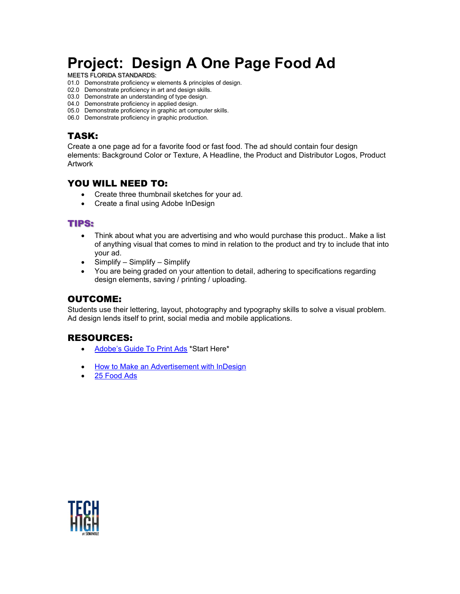# **Project: Design A One Page Food Ad**

MEETS FLORIDA STANDARDS:

- 01.0 Demonstrate proficiency w elements & principles of design.
- 02.0 Demonstrate proficiency in art and design skills.
- 03.0 Demonstrate an understanding of type design.
- 04.0 Demonstrate proficiency in applied design.
- 05.0 Demonstrate proficiency in graphic art computer skills.
- 06.0 Demonstrate proficiency in graphic production.

# TASK:

Create a one page ad for a favorite food or fast food. The ad should contain four design elements: Background Color or Texture, A Headline, the Product and Distributor Logos, Product Artwork

# YOU WILL NEED TO:

- Create three thumbnail sketches for your ad.
- Create a final using Adobe InDesign

## TIPS:

- Think about what you are advertising and who would purchase this product.. Make a list of anything visual that comes to mind in relation to the product and try to include that into your ad.
- Simplify Simplify Simplify
- You are being graded on your attention to detail, adhering to specifications regarding design elements, saving / printing / uploading.

## OUTCOME:

Students use their lettering, layout, photography and typography skills to solve a visual problem. Ad design lends itself to print, social media and mobile applications.

# RESOURCES:

- [Adobe's Guide To Print Ads](https://www.adobe.com/creativecloud/business/teams/resources/how-to/print-ads.html) \*Start Here\*
- [How to Make an Advertisement with InDesign](https://helpx.adobe.com/uk/indesign/how-to/make-an-advertisement.html)
- [25 Food Ads](https://penji.co/top-food-ad-designs/)